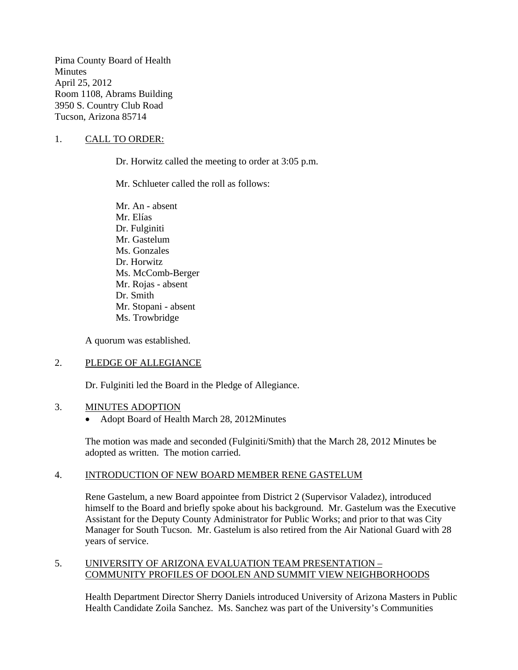Pima County Board of Health **Minutes** April 25, 2012 Room 1108, Abrams Building 3950 S. Country Club Road Tucson, Arizona 85714

### 1. CALL TO ORDER:

Dr. Horwitz called the meeting to order at 3:05 p.m.

Mr. Schlueter called the roll as follows:

Mr. An - absent Mr. Elías Dr. Fulginiti Mr. Gastelum Ms. Gonzales Dr. Horwitz Ms. McComb-Berger Mr. Rojas - absent Dr. Smith Mr. Stopani - absent Ms. Trowbridge

A quorum was established.

#### 2. PLEDGE OF ALLEGIANCE

Dr. Fulginiti led the Board in the Pledge of Allegiance.

#### 3. MINUTES ADOPTION

• Adopt Board of Health March 28, 2012Minutes

The motion was made and seconded (Fulginiti/Smith) that the March 28, 2012 Minutes be adopted as written. The motion carried.

#### 4. INTRODUCTION OF NEW BOARD MEMBER RENE GASTELUM

Rene Gastelum, a new Board appointee from District 2 (Supervisor Valadez), introduced himself to the Board and briefly spoke about his background. Mr. Gastelum was the Executive Assistant for the Deputy County Administrator for Public Works; and prior to that was City Manager for South Tucson. Mr. Gastelum is also retired from the Air National Guard with 28 years of service.

#### 5. UNIVERSITY OF ARIZONA EVALUATION TEAM PRESENTATION – COMMUNITY PROFILES OF DOOLEN AND SUMMIT VIEW NEIGHBORHOODS

Health Department Director Sherry Daniels introduced University of Arizona Masters in Public Health Candidate Zoila Sanchez. Ms. Sanchez was part of the University's Communities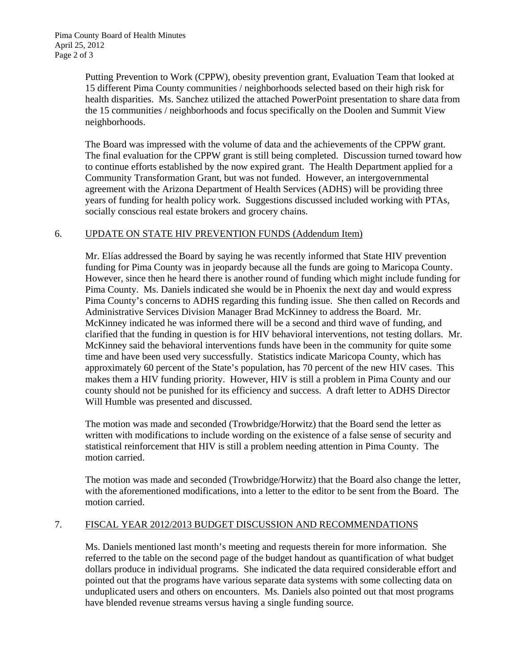Putting Prevention to Work (CPPW), obesity prevention grant, Evaluation Team that looked at 15 different Pima County communities / neighborhoods selected based on their high risk for health disparities. Ms. Sanchez utilized the attached PowerPoint presentation to share data from the 15 communities / neighborhoods and focus specifically on the Doolen and Summit View neighborhoods.

The Board was impressed with the volume of data and the achievements of the CPPW grant. The final evaluation for the CPPW grant is still being completed. Discussion turned toward how to continue efforts established by the now expired grant. The Health Department applied for a Community Transformation Grant, but was not funded. However, an intergovernmental agreement with the Arizona Department of Health Services (ADHS) will be providing three years of funding for health policy work. Suggestions discussed included working with PTAs, socially conscious real estate brokers and grocery chains.

### 6. UPDATE ON STATE HIV PREVENTION FUNDS (Addendum Item)

Mr. Elías addressed the Board by saying he was recently informed that State HIV prevention funding for Pima County was in jeopardy because all the funds are going to Maricopa County. However, since then he heard there is another round of funding which might include funding for Pima County. Ms. Daniels indicated she would be in Phoenix the next day and would express Pima County's concerns to ADHS regarding this funding issue. She then called on Records and Administrative Services Division Manager Brad McKinney to address the Board. Mr. McKinney indicated he was informed there will be a second and third wave of funding, and clarified that the funding in question is for HIV behavioral interventions, not testing dollars. Mr. McKinney said the behavioral interventions funds have been in the community for quite some time and have been used very successfully. Statistics indicate Maricopa County, which has approximately 60 percent of the State's population, has 70 percent of the new HIV cases. This makes them a HIV funding priority. However, HIV is still a problem in Pima County and our county should not be punished for its efficiency and success. A draft letter to ADHS Director Will Humble was presented and discussed.

The motion was made and seconded (Trowbridge/Horwitz) that the Board send the letter as written with modifications to include wording on the existence of a false sense of security and statistical reinforcement that HIV is still a problem needing attention in Pima County. The motion carried.

The motion was made and seconded (Trowbridge/Horwitz) that the Board also change the letter, with the aforementioned modifications, into a letter to the editor to be sent from the Board. The motion carried.

# 7. FISCAL YEAR 2012/2013 BUDGET DISCUSSION AND RECOMMENDATIONS

Ms. Daniels mentioned last month's meeting and requests therein for more information. She referred to the table on the second page of the budget handout as quantification of what budget dollars produce in individual programs. She indicated the data required considerable effort and pointed out that the programs have various separate data systems with some collecting data on unduplicated users and others on encounters. Ms. Daniels also pointed out that most programs have blended revenue streams versus having a single funding source.